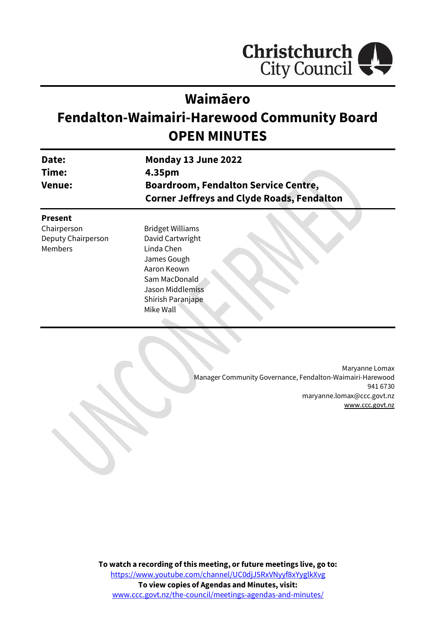

# **Waimāero**

# **Fendalton-Waimairi-Harewood Community Board OPEN MINUTES**

| Date:<br>Time:<br><b>Venue:</b> | Monday 13 June 2022<br>4.35pm |  |  |
|---------------------------------|-------------------------------|--|--|
|                                 |                               |  |  |
|                                 | <b>Present</b>                |  |  |
| Chairperson                     | <b>Bridget Williams</b>       |  |  |
| Deputy Chairperson              | David Cartwright              |  |  |
| <b>Members</b>                  | Linda Chen                    |  |  |

Linda Chen James Gough Aaron Keown Sam MacDonald Jason Middlemiss Shirish Paranjape Mike Wall

> Maryanne Lomax Manager Community Governance, Fendalton-Waimairi-Harewood 941 6730 maryanne.lomax@ccc.govt.nz [www.ccc.govt.nz](http://www.ccc.govt.nz/)

**To watch a recording of this meeting, or future meetings live, go to:** [https://www.youtube.com/channel/UC0djJ5RxVNyyf8xYyglkXvg](https://aus01.safelinks.protection.outlook.com/?url=https%3A%2F%2Fwww.youtube.com%2Fchannel%2FUC0djJ5RxVNyyf8xYyglkXvg&data=05%7C01%7CMatthew.Boult%40ccc.govt.nz%7C5a1a543348e149173c2608da3df8ac16%7C45c97e4ebd8d4ddcbd6e2d62daa2a011%7C0%7C0%7C637890435492430387%7CUnknown%7CTWFpbGZsb3d8eyJWIjoiMC4wLjAwMDAiLCJQIjoiV2luMzIiLCJBTiI6Ik1haWwiLCJXVCI6Mn0%3D%7C3000%7C%7C%7C&sdata=YAY%2BQ%2FWGFPuzxmNBz%2FzyqqU%2BcHox0Wirfr0q2UeUClU%3D&reserved=0) **To view copies of Agendas and Minutes, visit:** [www.ccc.govt.nz/the-council/meetings-agendas-and-minutes/](https://www.ccc.govt.nz/the-council/meetings-agendas-and-minutes/)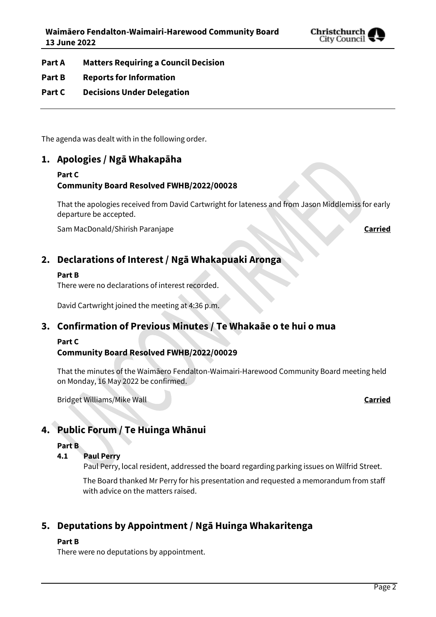

**Part A Matters Requiring a Council Decision**

# **Part B Reports for Information**

# **Part C Decisions Under Delegation**

The agenda was dealt with in the following order.

# **1. Apologies / Ngā Whakapāha**

#### **Part C**

# **Community Board Resolved FWHB/2022/00028**

That the apologies received from David Cartwright for lateness and from Jason Middlemiss for early departure be accepted.

Sam MacDonald/Shirish Paranjape **Carried**

# **2. Declarations of Interest / Ngā Whakapuaki Aronga**

# **Part B**

There were no declarations of interest recorded.

David Cartwright joined the meeting at 4:36 p.m.

# **3. Confirmation of Previous Minutes / Te Whakaāe o te hui o mua**

#### **Part C**

# **Community Board Resolved FWHB/2022/00029**

That the minutes of the Waimāero Fendalton-Waimairi-Harewood Community Board meeting held on Monday, 16 May 2022 be confirmed.

Bridget Williams/Mike Wall **Carried**

# **4. Public Forum / Te Huinga Whānui**

#### **Part B**

# **4.1 Paul Perry**

Paul Perry, local resident, addressed the board regarding parking issues on Wilfrid Street.

The Board thanked Mr Perry for his presentation and requested a memorandum from staff with advice on the matters raised.

# **5. Deputations by Appointment / Ngā Huinga Whakaritenga**

#### **Part B**

There were no deputations by appointment.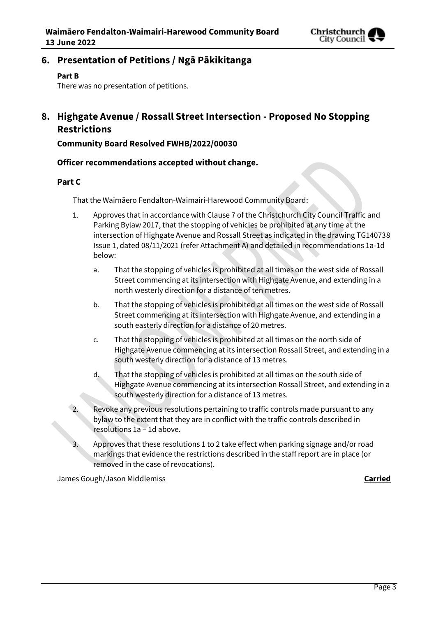

**6. Presentation of Petitions / Ngā Pākikitanga**

### **Part B**

There was no presentation of petitions.

# **8. Highgate Avenue / Rossall Street Intersection - Proposed No Stopping Restrictions**

**Community Board Resolved FWHB/2022/00030**

# **Officer recommendations accepted without change.**

# **Part C**

That the Waimāero Fendalton-Waimairi-Harewood Community Board:

- 1. Approves that in accordance with Clause 7 of the Christchurch City Council Traffic and Parking Bylaw 2017, that the stopping of vehicles be prohibited at any time at the intersection of Highgate Avenue and Rossall Street as indicated in the drawing TG140738 Issue 1, dated 08/11/2021 (refer Attachment A) and detailed in recommendations 1a-1d below:
	- a. That the stopping of vehicles is prohibited at all times on the west side of Rossall Street commencing at its intersection with Highgate Avenue, and extending in a north westerly direction for a distance of ten metres.
	- b. That the stopping of vehicles is prohibited at all times on the west side of Rossall Street commencing at its intersection with Highgate Avenue, and extending in a south easterly direction for a distance of 20 metres.
	- c. That the stopping of vehicles is prohibited at all times on the north side of Highgate Avenue commencing at its intersection Rossall Street, and extending in a south westerly direction for a distance of 13 metres.
	- d. That the stopping of vehicles is prohibited at all times on the south side of Highgate Avenue commencing at its intersection Rossall Street, and extending in a south westerly direction for a distance of 13 metres.
- 2. Revoke any previous resolutions pertaining to traffic controls made pursuant to any bylaw to the extent that they are in conflict with the traffic controls described in resolutions 1a – 1d above.
	- Approves that these resolutions 1 to 2 take effect when parking signage and/or road markings that evidence the restrictions described in the staff report are in place (or removed in the case of revocations).

James Gough/Jason Middlemiss **Carried**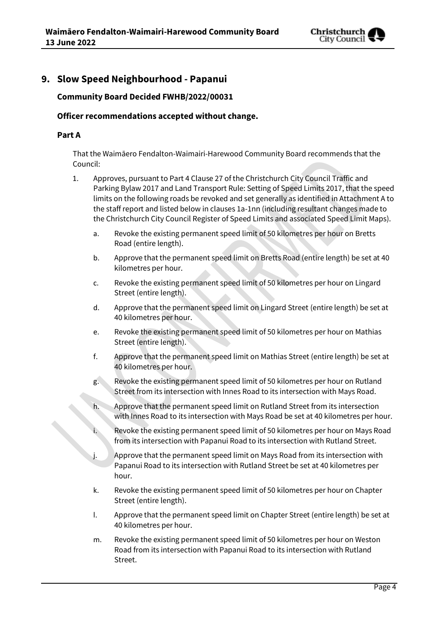

# **9. Slow Speed Neighbourhood - Papanui**

# **Community Board Decided FWHB/2022/00031**

### **Officer recommendations accepted without change.**

#### **Part A**

That the Waimāero Fendalton-Waimairi-Harewood Community Board recommends that the Council:

- 1. Approves, pursuant to Part 4 Clause 27 of the Christchurch City Council Traffic and Parking Bylaw 2017 and Land Transport Rule: Setting of Speed Limits 2017, that the speed limits on the following roads be revoked and set generally as identified in Attachment A to the staff report and listed below in clauses 1a-1nn (including resultant changes made to the Christchurch City Council Register of Speed Limits and associated Speed Limit Maps).
	- a. Revoke the existing permanent speed limit of 50 kilometres per hour on Bretts Road (entire length).
	- b. Approve that the permanent speed limit on Bretts Road (entire length) be set at 40 kilometres per hour.
	- c. Revoke the existing permanent speed limit of 50 kilometres per hour on Lingard Street (entire length).
	- d. Approve that the permanent speed limit on Lingard Street (entire length) be set at 40 kilometres per hour.
	- e. Revoke the existing permanent speed limit of 50 kilometres per hour on Mathias Street (entire length).
	- f. Approve that the permanent speed limit on Mathias Street (entire length) be set at 40 kilometres per hour.
	- g. Revoke the existing permanent speed limit of 50 kilometres per hour on Rutland Street from its intersection with Innes Road to its intersection with Mays Road.
	- Approve that the permanent speed limit on Rutland Street from its intersection with Innes Road to its intersection with Mays Road be set at 40 kilometres per hour.
	- Revoke the existing permanent speed limit of 50 kilometres per hour on Mays Road from its intersection with Papanui Road to its intersection with Rutland Street.
	- j. Approve that the permanent speed limit on Mays Road from its intersection with Papanui Road to its intersection with Rutland Street be set at 40 kilometres per hour.
	- k. Revoke the existing permanent speed limit of 50 kilometres per hour on Chapter Street (entire length).
	- l. Approve that the permanent speed limit on Chapter Street (entire length) be set at 40 kilometres per hour.
	- m. Revoke the existing permanent speed limit of 50 kilometres per hour on Weston Road from its intersection with Papanui Road to its intersection with Rutland Street.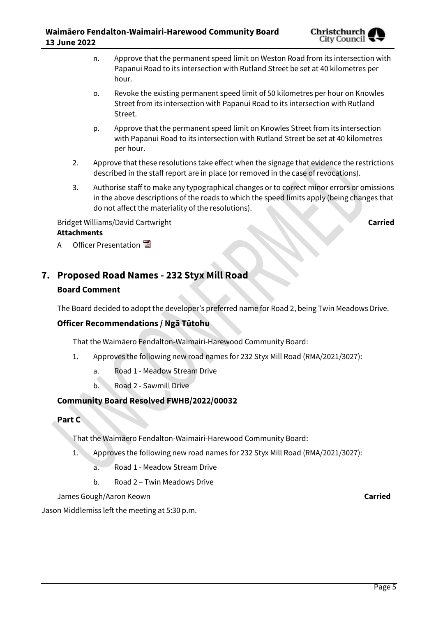

- n. Approve that the permanent speed limit on Weston Road from its intersection with Papanui Road to its intersection with Rutland Street be set at 40 kilometres per hour.
- o. Revoke the existing permanent speed limit of 50 kilometres per hour on Knowles Street from its intersection with Papanui Road to its intersection with Rutland Street.
- p. Approve that the permanent speed limit on Knowles Street from its intersection with Papanui Road to its intersection with Rutland Street be set at 40 kilometres per hour.
- 2. Approve that these resolutions take effect when the signage that evidence the restrictions described in the staff report are in place (or removed in the case of revocations).
- 3. Authorise staff to make any typographical changes or to correct minor errors or omissions in the above descriptions of the roads to which the speed limits apply (being changes that do not affect the materiality of the resolutions).

# Bridget Williams/David Cartwright **Carried Attachments**

A Officer Presentation

# **7. Proposed Road Names - 232 Styx Mill Road**

# **Board Comment**

The Board decided to adopt the developer's preferred name for Road 2, being Twin Meadows Drive.

# **Officer Recommendations / Ngā Tūtohu**

That the Waimāero Fendalton-Waimairi-Harewood Community Board:

- 1. Approves the following new road names for 232 Styx Mill Road (RMA/2021/3027):
	- a. Road 1 Meadow Stream Drive
	- b. Road 2 Sawmill Drive

# **Community Board Resolved FWHB/2022/00032**

# **Part C**

That the Waimāero Fendalton-Waimairi-Harewood Community Board:

- 1. Approves the following new road names for 232 Styx Mill Road (RMA/2021/3027):
	- a. Road 1 Meadow Stream Drive
	- b. Road 2 Twin Meadows Drive

James Gough/Aaron Keown **Carried**

Jason Middlemiss left the meeting at 5:30 p.m.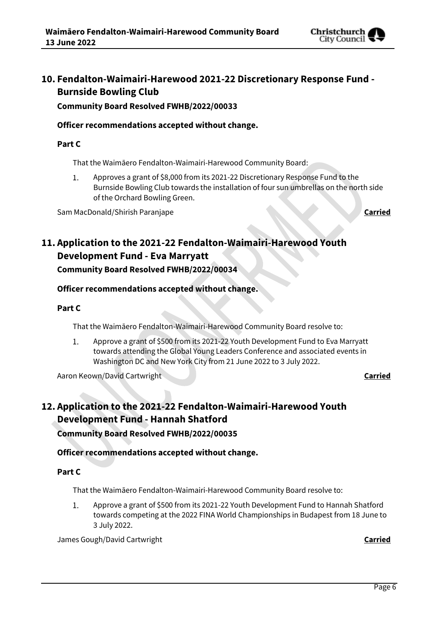

# **10. Fendalton-Waimairi-Harewood 2021-22 Discretionary Response Fund - Burnside Bowling Club**

**Community Board Resolved FWHB/2022/00033**

# **Officer recommendations accepted without change.**

# **Part C**

That the Waimāero Fendalton-Waimairi-Harewood Community Board:

Approves a grant of \$8,000 from its 2021-22 Discretionary Response Fund to the  $1.$ Burnside Bowling Club towards the installation of four sun umbrellas on the north side of the Orchard Bowling Green.

Sam MacDonald/Shirish Paranjape **Carried**

# **11. Application to the 2021-22 Fendalton-Waimairi-Harewood Youth Development Fund - Eva Marryatt Community Board Resolved FWHB/2022/00034**

# **Officer recommendations accepted without change.**

### **Part C**

That the Waimāero Fendalton-Waimairi-Harewood Community Board resolve to:

 $1.$ Approve a grant of \$500 from its 2021-22 Youth Development Fund to Eva Marryatt towards attending the Global Young Leaders Conference and associated events in Washington DC and New York City from 21 June 2022 to 3 July 2022.

Aaron Keown/David Cartwright **Carried**

# **12. Application to the 2021-22 Fendalton-Waimairi-Harewood Youth Development Fund - Hannah Shatford**

**Community Board Resolved FWHB/2022/00035**

# **Officer recommendations accepted without change.**

#### **Part C**

That the Waimāero Fendalton-Waimairi-Harewood Community Board resolve to:

 $1.$ Approve a grant of \$500 from its 2021-22 Youth Development Fund to Hannah Shatford towards competing at the 2022 FINA World Championships in Budapest from 18 June to 3 July 2022.

James Gough/David Cartwright **Carried**